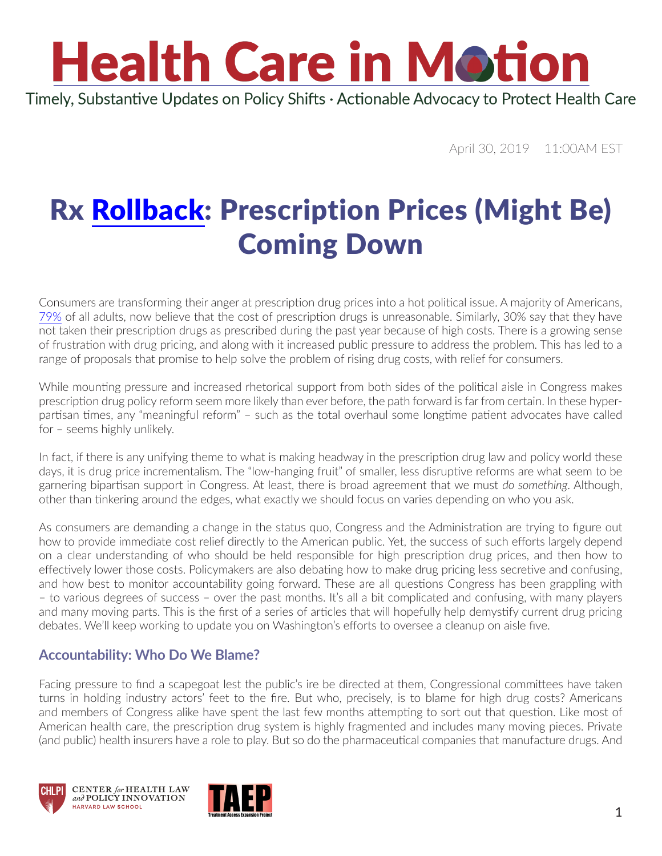# **Health Care in Motion**

Timely, Substantive Updates on Policy Shifts · Actionable Advocacy to Protect Health Care

April 30, 2019 11:00AM EST

### Rx [Rollback](https://www.youtube.com/watch?v=K-KgGRC_efQ): Prescription Prices (Might Be) Coming Down

Consumers are transforming their anger at prescription drug prices into a hot political issue. A majority of Americans, [79%](https://www.kff.org/health-reform/poll-finding/kff-health-tracking-poll-february-2019-prescription-drugs/) of all adults, now believe that the cost of prescription drugs is unreasonable. Similarly, 30% say that they have not taken their prescription drugs as prescribed during the past year because of high costs. There is a growing sense of frustration with drug pricing, and along with it increased public pressure to address the problem. This has led to a range of proposals that promise to help solve the problem of rising drug costs, with relief for consumers.

While mounting pressure and increased rhetorical support from both sides of the political aisle in Congress makes prescription drug policy reform seem more likely than ever before, the path forward is far from certain. In these hyperpartisan times, any "meaningful reform" – such as the total overhaul some longtime patient advocates have called for – seems highly unlikely.

In fact, if there is any unifying theme to what is making headway in the prescription drug law and policy world these days, it is drug price incrementalism. The "low-hanging fruit" of smaller, less disruptive reforms are what seem to be garnering bipartisan support in Congress. At least, there is broad agreement that we must *do something*. Although, other than tinkering around the edges, what exactly we should focus on varies depending on who you ask.

As consumers are demanding a change in the status quo, Congress and the Administration are trying to figure out how to provide immediate cost relief directly to the American public. Yet, the success of such efforts largely depend on a clear understanding of who should be held responsible for high prescription drug prices, and then how to effectively lower those costs. Policymakers are also debating how to make drug pricing less secretive and confusing, and how best to monitor accountability going forward. These are all questions Congress has been grappling with – to various degrees of success – over the past months. It's all a bit complicated and confusing, with many players and many moving parts. This is the first of a series of articles that will hopefully help demystify current drug pricing debates. We'll keep working to update you on Washington's efforts to oversee a cleanup on aisle five.

#### **Accountability: Who Do We Blame?**

Facing pressure to find a scapegoat lest the public's ire be directed at them, Congressional committees have taken turns in holding industry actors' feet to the fire. But who, precisely, is to blame for high drug costs? Americans and members of Congress alike have spent the last few months attempting to sort out that question. Like most of American health care, the prescription drug system is highly fragmented and includes many moving pieces. Private (and public) health insurers have a role to play. But so do the pharmaceutical companies that manufacture drugs. And





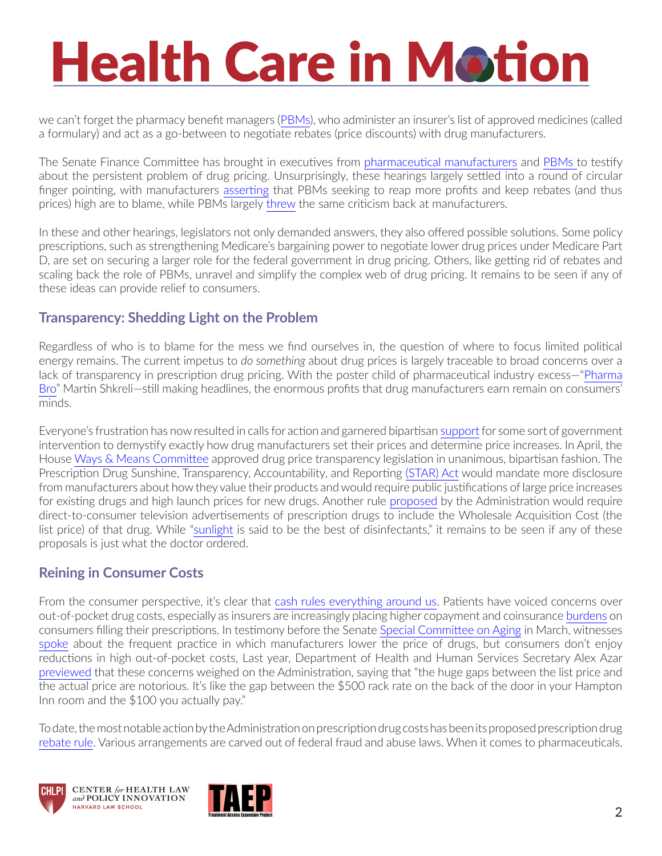## **Health Care in Motion**

we can't forget the pharmacy benefit managers ([PBMs\)](https://www.youtube.com/watch?v=P21Zb_OySIg), who administer an insurer's list of approved medicines (called a formulary) and act as a go-between to negotiate rebates (price discounts) with drug manufacturers.

The Senate Finance Committee has brought in executives from [pharmaceutical manufacturers](https://www.finance.senate.gov/hearings/drug-pricing-in-america-a-prescription-for-change-part-ii) and [PBMs t](https://www.finance.senate.gov/hearings/drug-pricing-in-america-a-prescription-for-change-part-iii)o testify about the persistent problem of drug pricing. Unsurprisingly, these hearings largely settled into a round of circular finger pointing, with manufacturers [asserting](https://www.finance.senate.gov/imo/media/doc/Combined Drug CEO QFR Responses Wyden.pdf) that PBMs seeking to reap more profits and keep rebates (and thus prices) high are to blame, while PBMs largely [threw](https://www.cnbc.com/2019/04/09/cvs-cigna-humana-blame-big-pharma-for-high-drug-prices-in-senate-hearing.html) the same criticism back at manufacturers.

In these and other hearings, legislators not only demanded answers, they also offered possible solutions. Some policy prescriptions, such as strengthening Medicare's bargaining power to negotiate lower drug prices under Medicare Part D, are set on securing a larger role for the federal government in drug pricing. Others, like getting rid of rebates and scaling back the role of PBMs, unravel and simplify the complex web of drug pricing. It remains to be seen if any of these ideas can provide relief to consumers.

#### **Transparency: Shedding Light on the Problem**

Regardless of who is to blame for the mess we find ourselves in, the question of where to focus limited political energy remains. The current impetus to *do something* about drug prices is largely traceable to broad concerns over a lack of transparency in prescription drug pricing. With the poster child of pharmaceutical industry excess—"[Pharma](https://abcnews.go.com/US/feds-investigates-martin-pharma-bro-shkreli-allegedly-running/story?id=62113959)  [Bro](https://abcnews.go.com/US/feds-investigates-martin-pharma-bro-shkreli-allegedly-running/story?id=62113959)" Martin Shkreli—still making headlines, the enormous profits that drug manufacturers earn remain on consumers' minds.

Everyone's frustration has now resulted in calls for action and garnered bipartisan [support](https://www.kff.org/health-reform/poll-finding/kff-health-tracking-poll-february-2019-prescription-drugs/) for some sort of government intervention to demystify exactly how drug manufacturers set their prices and determine price increases. In April, the House [Ways & Means Committee](https://waysandmeans.house.gov/media-center/press-releases/ways-and-means-advances-bipartisan-prescription-drug-pricing-legislation) approved drug price transparency legislation in unanimous, bipartisan fashion. The Prescription Drug Sunshine, Transparency, Accountability, and Reporting [\(STAR\) Act](https://waysandmeans.house.gov/media-center/press-releases/ways-and-means-advances-bipartisan-prescription-drug-pricing-legislation) would mandate more disclosure from manufacturers about how they value their products and would require public justifications of large price increases for existing drugs and high launch prices for new drugs. Another rule [proposed](https://www.federalregister.gov/documents/2018/10/18/2018-22698/medicare-and-medicaid-programs-regulation-to-require-drug-pricing-transparency) by the Administration would require direct-to-consumer television advertisements of prescription drugs to include the Wholesale Acquisition Cost (the list price) of that drug. While ["sunlight](https://www.brandeis.edu/legacyfund/bio.html) is said to be the best of disinfectants," it remains to be seen if any of these proposals is just what the doctor ordered.

#### **Reining in Consumer Costs**

From the consumer perspective, it's clear that [cash rules everything around us](https://www.youtube.com/watch?v=PBwAxmrE194). Patients have voiced concerns over out-of-pocket drug costs, especially as insurers are increasingly placing higher copayment and coinsurance [burdens](https://www.healthsystemtracker.org/brief/increases-in-cost-sharing-payments-have-far-outpaced-wage-growth/#item-start) on consumers filling their prescriptions. In testimony before the Senate [Special Committee on Aging](https://www.aging.senate.gov/) in March, witnesses [spoke](https://www.aging.senate.gov/hearings/the-complex-web-of-prescription-drug-prices-part-i-patients-struggling-with-rising-costs) about the frequent practice in which manufacturers lower the price of drugs, but consumers don't enjoy reductions in high out-of-pocket costs, Last year, Department of Health and Human Services Secretary Alex Azar [previewed](https://www.forbes.com/sites/arleneweintraub/2018/03/30/the-call-for-drug-price-transparency-is-growing-louder-but-will-it-matter/#4b366a3f3267) that these concerns weighed on the Administration, saying that "the huge gaps between the list price and the actual price are notorious. It's like the gap between the \$500 rack rate on the back of the door in your Hampton Inn room and the \$100 you actually pay."

To date, the most notable action by the Administration on prescription drug costs has been its proposed prescription drug [rebate rule](https://www.federalregister.gov/documents/2019/02/06/2019-01026/fraud-and-abuse-removal-of-safe-harbor-protection-for-rebates-involving-prescription-pharmaceuticals). Various arrangements are carved out of federal fraud and abuse laws. When it comes to pharmaceuticals,